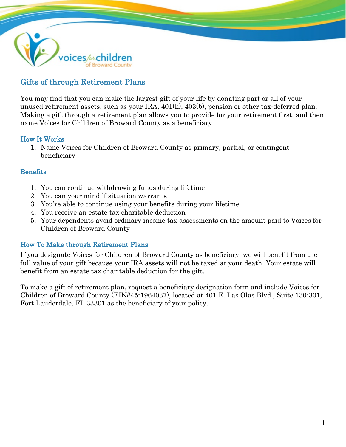

# Gifts of through Retirement Plans

You may find that you can make the largest gift of your life by donating part or all of your unused retirement assets, such as your IRA, 401(k), 403(b), pension or other tax-deferred plan. Making a gift through a retirement plan allows you to provide for your retirement first, and then name Voices for Children of Broward County as a beneficiary.

### How It Works

1. Name Voices for Children of Broward County as primary, partial, or contingent beneficiary

### **Benefits**

- 1. You can continue withdrawing funds during lifetime
- 2. You can your mind if situation warrants
- 3. You're able to continue using your benefits during your lifetime
- 4. You receive an estate tax charitable deduction
- 5. Your dependents avoid ordinary income tax assessments on the amount paid to Voices for Children of Broward County

## How To Make through Retirement Plans

If you designate Voices for Children of Broward County as beneficiary, we will benefit from the full value of your gift because your IRA assets will not be taxed at your death. Your estate will benefit from an estate tax charitable deduction for the gift.

To make a gift of retirement plan, request a beneficiary designation form and include Voices for Children of Broward County (EIN#45-1964037), located at 401 E. Las Olas Blvd., Suite 130-301, Fort Lauderdale, FL 33301 as the beneficiary of your policy.